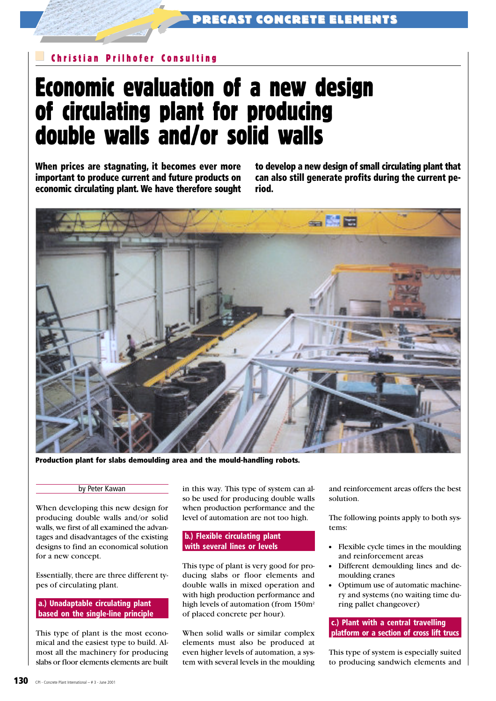### Christian Prilhofer Consulting

,

# Economic evaluation of a new design of circulating plant for producing double walls and/or solid walls

When prices are stagnating, it becomes ever more important to produce current and future products on economic circulating plant. We have therefore sought to develop a new design of small circulating plant that can also still generate profits during the current period.



Production plant for slabs demoulding area and the mould-handling robots.

#### by Peter Kawan

When developing this new design for producing double walls and/or solid walls, we first of all examined the advantages and disadvantages of the existing designs to find an economical solution for a new concept.

Essentially, there are three different types of circulating plant.

#### a.) Unadaptable circulating plant based on the single-line principle

This type of plant is the most economical and the easiest type to build. Almost all the machinery for producing slabs or floor elements elements are built in this way. This type of system can also be used for producing double walls when production performance and the level of automation are not too high.

#### b.) Flexible circulating plant with several lines or levels

This type of plant is very good for producing slabs or floor elements and double walls in mixed operation and with high production performance and high levels of automation (from 150m<sup>2</sup> of placed concrete per hour).

When solid walls or similar complex elements must also be produced at even higher levels of automation, a system with several levels in the moulding and reinforcement areas offers the best solution.

The following points apply to both systems:

- Flexible cycle times in the moulding and reinforcement areas
- Different demoulding lines and demoulding cranes
- Optimum use of automatic machinery and systems (no waiting time during pallet changeover)

#### c.) Plant with a central travelling platform or a section of cross lift trucs

This type of system is especially suited to producing sandwich elements and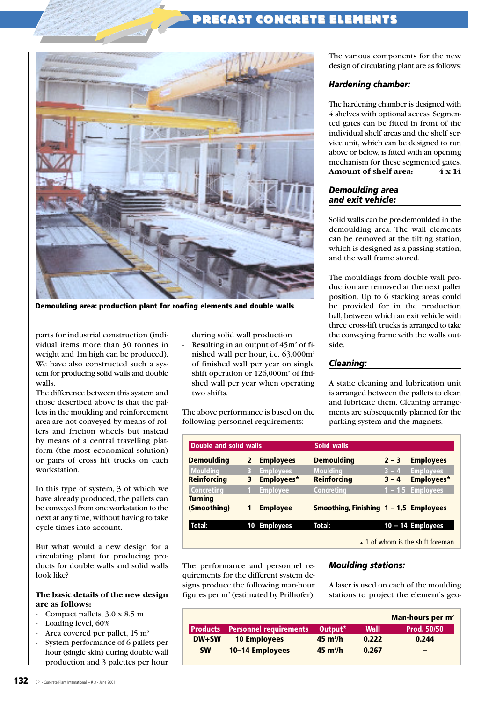## RECAST CONCRETE ELEMENTS



,

Demoulding area: production plant for roofing elements and double walls

parts for industrial construction (individual items more than 30 tonnes in weight and 1m high can be produced). We have also constructed such a system for producing solid walls and double walls.

The difference between this system and those described above is that the pallets in the moulding and reinforcement area are not conveyed by means of rollers and friction wheels but instead by means of a central travelling platform (the most economical solution) or pairs of cross lift trucks on each workstation.

In this type of system, 3 of which we have already produced, the pallets can be conveyed from one workstation to the next at any time, without having to take cycle times into account.

But what would a new design for a circulating plant for producing products for double walls and solid walls look like?

#### **The basic details of the new design are as follows:**

- Compact pallets, 3.0 x 8.5 m
- Loading level, 60%
- Area covered per pallet,  $15 \text{ m}^2$
- System performance of 6 pallets per hour (single skin) during double wall production and 3 palettes per hour

during solid wall production

Resulting in an output of  $45m^2$  of finished wall per hour, i.e. 63,000m<sup>2</sup> of finished wall per year on single shift operation or 126,000m<sup>2</sup> of finished wall per year when operating two shifts.

The above performance is based on the following personnel requirements:

The various components for the new design of circulating plant are as follows:

#### *Hardening chamber:*

The hardening chamber is designed with 4 shelves with optional access. Segmented gates can be fitted in front of the individual shelf areas and the shelf service unit, which can be designed to run above or below, is fitted with an opening mechanism for these segmented gates. **Amount of shelf area: 4 x 14**

#### *Demoulding area and exit vehicle:*

Solid walls can be pre-demoulded in the demoulding area. The wall elements can be removed at the tilting station, which is designed as a passing station, and the wall frame stored.

The mouldings from double wall production are removed at the next pallet position. Up to 6 stacking areas could be provided for in the production hall, between which an exit vehicle with three cross-lift trucks is arranged to take the conveying frame with the walls outside.

#### *Cleaning:*

A static cleaning and lubrication unit is arranged between the pallets to clean and lubricate them. Cleaning arrangements are subsequently planned for the parking system and the magnets.

| <b>Double and solid walls</b> |   |                  | Solid walls                              |           |                                        |  |
|-------------------------------|---|------------------|------------------------------------------|-----------|----------------------------------------|--|
| <b>Demoulding</b>             | 2 | <b>Employees</b> | <b>Demoulding</b>                        | $2 - 3$   | <b>Employees</b>                       |  |
| <b>Moulding</b>               | B | <b>Employees</b> | <b>Moulding</b>                          | $3 - 4$   | <b>Employees</b>                       |  |
| <b>Reinforcing</b>            | 3 | Employees*       | <b>Reinforcing</b>                       | $3 - 4$   | <b>Employees*</b>                      |  |
| <b>Concreting</b>             |   | <b>Employee</b>  | Concreting                               | $1 - 1.5$ | <b>Employees</b>                       |  |
| <b>Turning</b>                |   |                  |                                          |           |                                        |  |
| (Smoothing)                   |   | <b>Employee</b>  | Smoothing, Finishing $1 - 1.5$ Employees |           |                                        |  |
| Total:                        |   | 10 Employees     | Total:                                   |           | $10 - 14$ Employees                    |  |
|                               |   |                  |                                          |           | $\star$ 1 of whom is the shift foreman |  |

The performance and personnel requirements for the different system designs produce the following man-hour figures per m<sup>2</sup> (estimated by Prilhofer):

#### *Moulding stations:*

A laser is used on each of the moulding stations to project the element's geo-

|            |                               |                     |       | Man-hours per m <sup>2</sup> |
|------------|-------------------------------|---------------------|-------|------------------------------|
| l Products | <b>Personnel requirements</b> | Output <sup>*</sup> | Wall  | <b>Prod. 50/50</b>           |
| $DW+SW$    | <b>10 Employees</b>           | $45 \text{ m}^2$ /h | 0.222 | 0.244                        |
| <b>SW</b>  | 10-14 Employees               | $45 \text{ m}^2$ /h | 0.267 | $\overline{\phantom{0}}$     |